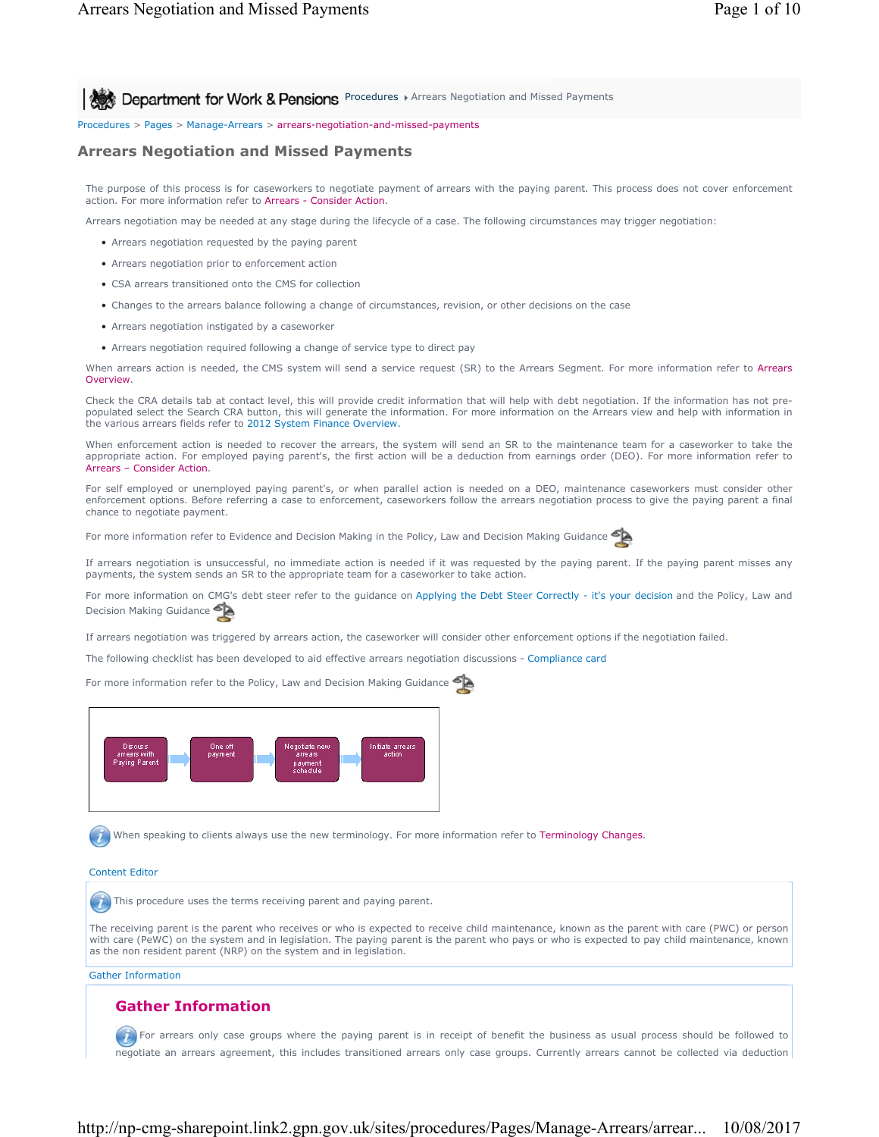**All Act Department for Work & Pensions** Procedures > Arrears Negotiation and Missed Payments

Procedures > Pages > Manage-Arrears > arrears-negotiation-and-missed-payments

# **Arrears Negotiation and Missed Payments**

The purpose of this process is for caseworkers to negotiate payment of arrears with the paying parent. This process does not cover enforcement action. For more information refer to Arrears - Consider Action.

Arrears negotiation may be needed at any stage during the lifecycle of a case. The following circumstances may trigger negotiation:

- Arrears negotiation requested by the paying parent
- Arrears negotiation prior to enforcement action
- CSA arrears transitioned onto the CMS for collection
- Changes to the arrears balance following a change of circumstances, revision, or other decisions on the case
- Arrears negotiation instigated by a caseworker
- Arrears negotiation required following a change of service type to direct pay

When arrears action is needed, the CMS system will send a service request (SR) to the Arrears Segment. For more information refer to Arrears Overview.

Check the CRA details tab at contact level, this will provide credit information that will help with debt negotiation. If the information has not prepopulated select the Search CRA button, this will generate the information. For more information on the Arrears view and help with information in the various arrears fields refer to 2012 System Finance Overview.

When enforcement action is needed to recover the arrears, the system will send an SR to the maintenance team for a caseworker to take the appropriate action. For employed paying parent's, the first action will be a deduction from earnings order (DEO). For more information refer to Arrears – Consider Action.

For self employed or unemployed paying parent's, or when parallel action is needed on a DEO, maintenance caseworkers must consider other enforcement options. Before referring a case to enforcement, caseworkers follow the arrears negotiation process to give the paying parent a final chance to negotiate payment.

For more information refer to Evidence and Decision Making in the Policy, Law and Decision Making Guidance

If arrears negotiation is unsuccessful, no immediate action is needed if it was requested by the paying parent. If the paying parent misses any payments, the system sends an SR to the appropriate team for a caseworker to take action.

For more information on CMG's debt steer refer to the guidance on Applying the Debt Steer Correctly - it's your decision and the Policy, Law and Decision Making Guidance

If arrears negotiation was triggered by arrears action, the caseworker will consider other enforcement options if the negotiation failed.

The following checklist has been developed to aid effective arrears negotiation discussions - Compliance card

For more information refer to the Policy, Law and Decision Making Guidance



When speaking to clients always use the new terminology. For more information refer to Terminology Changes.

#### Content Editor

**This procedure uses the terms receiving parent and paying parent.** 

The receiving parent is the parent who receives or who is expected to receive child maintenance, known as the parent with care (PWC) or person with care (PeWC) on the system and in legislation. The paying parent is the parent who pays or who is expected to pay child maintenance, known as the non resident parent (NRP) on the system and in legislation.

Gather Information

# **Gather Information**

For arrears only case groups where the paying parent is in receipt of benefit the business as usual process should be followed to negotiate an arrears agreement, this includes transitioned arrears only case groups. Currently arrears cannot be collected via deduction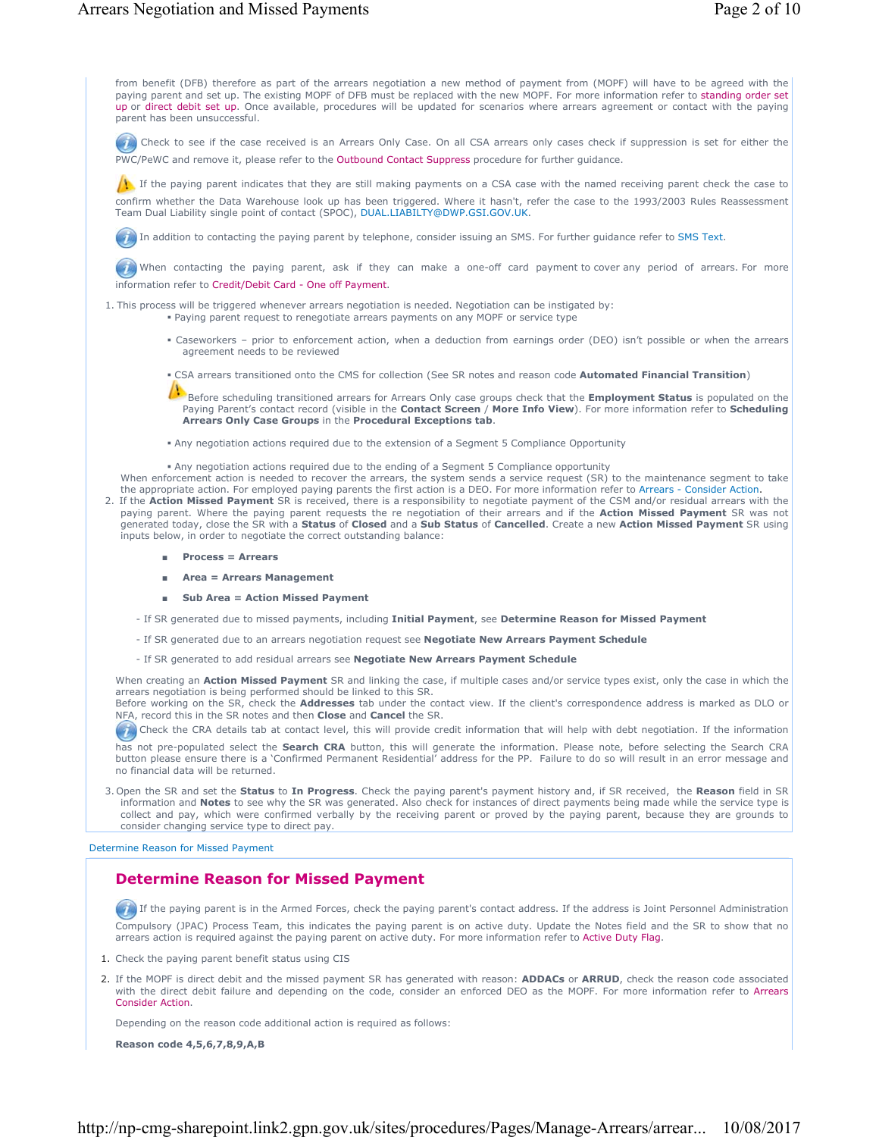from benefit (DFB) therefore as part of the arrears negotiation a new method of payment from (MOPF) will have to be agreed with the paying parent and set up. The existing MOPF of DFB must be replaced with the new MOPF. For more information refer to standing order set up or direct debit set up. Once available, procedures will be updated for scenarios where arrears agreement or contact with the paying parent has been unsuccessful.

Check to see if the case received is an Arrears Only Case. On all CSA arrears only cases check if suppression is set for either the PWC/PeWC and remove it, please refer to the Outbound Contact Suppress procedure for further guidance.

If the paying parent indicates that they are still making payments on a CSA case with the named receiving parent check the case to confirm whether the Data Warehouse look up has been triggered. Where it hasn't, refer the case to the 1993/2003 Rules Reassessment Team Dual Liability single point of contact (SPOC), DUAL.LIABILTY@DWP.GSI.GOV.UK.

**In addition to contacting the paying parent by telephone, consider issuing an SMS. For further guidance refer to SMS Text.** 

When contacting the paying parent, ask if they can make a one-off card payment to cover any period of arrears. For more information refer to Credit/Debit Card - One off Payment.

1. This process will be triggered whenever arrears negotiation is needed. Negotiation can be instigated by:

- Paying parent request to renegotiate arrears payments on any MOPF or service type
	- Caseworkers prior to enforcement action, when a deduction from earnings order (DEO) isn't possible or when the arrears agreement needs to be reviewed
	- CSA arrears transitioned onto the CMS for collection (See SR notes and reason code **Automated Financial Transition**)

Before scheduling transitioned arrears for Arrears Only case groups check that the **Employment Status** is populated on the Paying Parent's contact record (visible in the **Contact Screen** / **More Info View**). For more information refer to **Scheduling Arrears Only Case Groups** in the **Procedural Exceptions tab**.

Any negotiation actions required due to the extension of a Segment 5 Compliance Opportunity

 Any negotiation actions required due to the ending of a Segment 5 Compliance opportunity When enforcement action is needed to recover the arrears, the system sends a service request (SR) to the maintenance segment to take

- the appropriate action. For employed paying parents the first action is a DEO. For more information refer to Arrears Consider Action. 2. If the **Action Missed Payment** SR is received, there is a responsibility to negotiate payment of the CSM and/or residual arrears with the paying parent. Where the paying parent requests the re negotiation of their arrears and if the **Action Missed Payment** SR was not generated today, close the SR with a **Status** of **Closed** and a **Sub Status** of **Cancelled**. Create a new **Action Missed Payment** SR using inputs below, in order to negotiate the correct outstanding balance:
	- **Process = Arrears**
	- **Area = Arrears Management**
	- **Sub Area = Action Missed Payment**
	- If SR generated due to missed payments, including **Initial Payment**, see **Determine Reason for Missed Payment**
	- If SR generated due to an arrears negotiation request see **Negotiate New Arrears Payment Schedule**
	- If SR generated to add residual arrears see **Negotiate New Arrears Payment Schedule**

When creating an **Action Missed Payment** SR and linking the case, if multiple cases and/or service types exist, only the case in which the arrears negotiation is being performed should be linked to this SR.

Before working on the SR, check the **Addresses** tab under the contact view. If the client's correspondence address is marked as DLO or NFA, record this in the SR notes and then **Close** and **Cancel** the SR.

Check the CRA details tab at contact level, this will provide credit information that will help with debt negotiation. If the information has not pre-populated select the **Search CRA** button, this will generate the information. Please note, before selecting the Search CRA button please ensure there is a 'Confirmed Permanent Residential' address for the PP. Failure to do so will result in an error message and no financial data will be returned.

3. Open the SR and set the **Status** to **In Progress**. Check the paying parent's payment history and, if SR received, the **Reason** field in SR information and **Notes** to see why the SR was generated. Also check for instances of direct payments being made while the service type is collect and pay, which were confirmed verbally by the receiving parent or proved by the paying parent, because they are grounds to consider changing service type to direct pay.

Determine Reason for Missed Payment

## **Determine Reason for Missed Payment**

If the paying parent is in the Armed Forces, check the paying parent's contact address. If the address is Joint Personnel Administration Compulsory (JPAC) Process Team, this indicates the paying parent is on active duty. Update the Notes field and the SR to show that no arrears action is required against the paying parent on active duty. For more information refer to Active Duty Flag.

- 1. Check the paying parent benefit status using CIS
- 2. If the MOPF is direct debit and the missed payment SR has generated with reason: **ADDACs** or **ARRUD**, check the reason code associated with the direct debit failure and depending on the code, consider an enforced DEO as the MOPF. For more information refer to Arrears Consider Action.

Depending on the reason code additional action is required as follows:

**Reason code 4,5,6,7,8,9,A,B**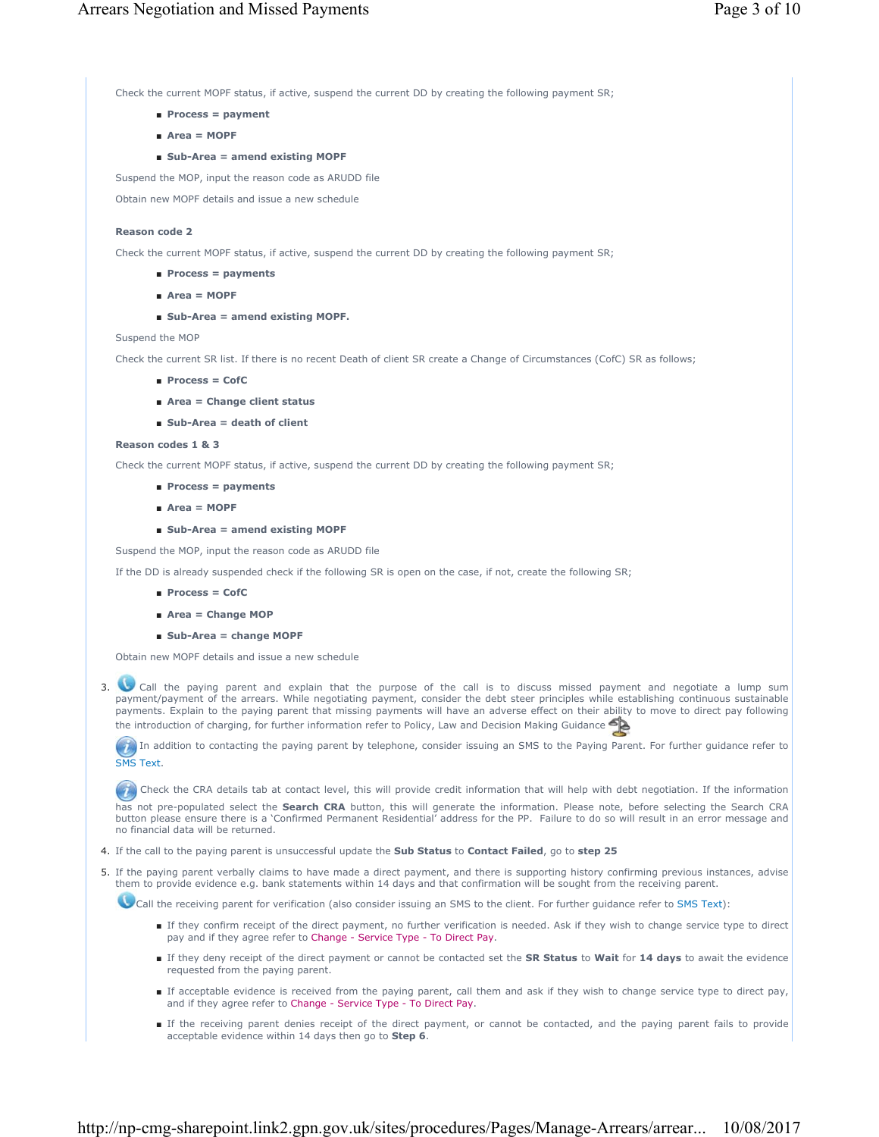Check the current MOPF status, if active, suspend the current DD by creating the following payment SR;

- **Process = payment**
- **Area = MOPF**
- **Sub-Area = amend existing MOPF**

Suspend the MOP, input the reason code as ARUDD file

Obtain new MOPF details and issue a new schedule

# **Reason code 2**

Check the current MOPF status, if active, suspend the current DD by creating the following payment SR;

- **Process = payments**
- **Area = MOPF**
- **Sub-Area = amend existing MOPF.**

## Suspend the MOP

Check the current SR list. If there is no recent Death of client SR create a Change of Circumstances (CofC) SR as follows;

- **Process = CofC**
- **Area = Change client status**
- **Sub-Area = death of client**

# **Reason codes 1 & 3**

Check the current MOPF status, if active, suspend the current DD by creating the following payment SR;

- **Process = payments**
- **Area = MOPF**
- **Sub-Area = amend existing MOPF**

Suspend the MOP, input the reason code as ARUDD file

If the DD is already suspended check if the following SR is open on the case, if not, create the following SR;

- **Process = CofC**
- **Area = Change MOP**
- **Sub-Area = change MOPF**

Obtain new MOPF details and issue a new schedule

 Call the paying parent and explain that the purpose of the call is to discuss missed payment and negotiate a lump sum 3. payment/payment of the arrears. While negotiating payment, consider the debt steer principles while establishing continuous sustainable payments. Explain to the paying parent that missing payments will have an adverse effect on their ability to move to direct pay following the introduction of charging, for further information refer to Policy, Law and Decision Making Guidance

In addition to contacting the paying parent by telephone, consider issuing an SMS to the Paying Parent. For further guidance refer to SMS Text.

Check the CRA details tab at contact level, this will provide credit information that will help with debt negotiation. If the information has not pre-populated select the **Search CRA** button, this will generate the information. Please note, before selecting the Search CRA button please ensure there is a 'Confirmed Permanent Residential' address for the PP. Failure to do so will result in an error message and no financial data will be returned.

4. If the call to the paying parent is unsuccessful update the **Sub Status** to **Contact Failed**, go to **step 25**

5. If the paying parent verbally claims to have made a direct payment, and there is supporting history confirming previous instances, advise them to provide evidence e.g. bank statements within 14 days and that confirmation will be sought from the receiving parent.

Call the receiving parent for verification (also consider issuing an SMS to the client. For further guidance refer to SMS Text):

- If they confirm receipt of the direct payment, no further verification is needed. Ask if they wish to change service type to direct pay and if they agree refer to Change - Service Type - To Direct Pay.
- If they deny receipt of the direct payment or cannot be contacted set the **SR Status** to Wait for 14 days to await the evidence requested from the paying parent.
- If acceptable evidence is received from the paying parent, call them and ask if they wish to change service type to direct pay, and if they agree refer to Change - Service Type - To Direct Pay.
- If the receiving parent denies receipt of the direct payment, or cannot be contacted, and the paying parent fails to provide acceptable evidence within 14 days then go to **Step 6**.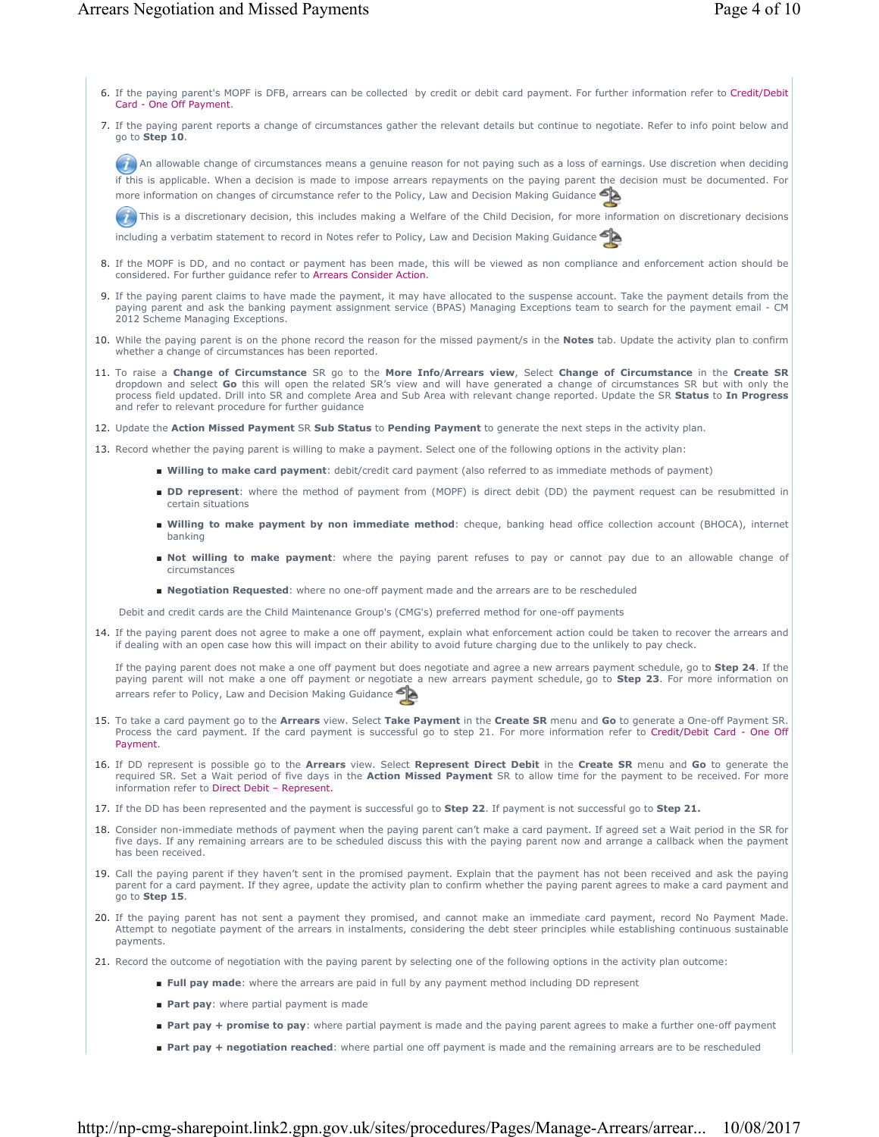- 6. If the paying parent's MOPF is DFB, arrears can be collected by credit or debit card payment. For further information refer to Credit/Debit Card - One Off Payment.
- If the paying parent reports a change of circumstances gather the relevant details but continue to negotiate. Refer to info point below and 7. go to **Step 10**.

An allowable change of circumstances means a genuine reason for not paying such as a loss of earnings. Use discretion when deciding if this is applicable. When a decision is made to impose arrears repayments on the paying parent the decision must be documented. For more information on changes of circumstance refer to the Policy, Law and Decision Making Guidance

This is a discretionary decision, this includes making a Welfare of the Child Decision, for more information on discretionary decisions

including a verbatim statement to record in Notes refer to Policy, Law and Decision Making Guidance

- 8. If the MOPF is DD, and no contact or payment has been made, this will be viewed as non compliance and enforcement action should be considered. For further guidance refer to Arrears Consider Action.
- If the paying parent claims to have made the payment, it may have allocated to the suspense account. Take the payment details from the 9. paying parent and ask the banking payment assignment service (BPAS) Managing Exceptions team to search for the payment email - CM 2012 Scheme Managing Exceptions.
- 10. While the paying parent is on the phone record the reason for the missed payment/s in the **Notes** tab. Update the activity plan to confirm whether a change of circumstances has been reported.
- 11. To raise a **Change of Circumstance** SR go to the More Info/Arrears view, Select Change of Circumstance in the Create SR dropdown and select **Go** this will open the related SR's view and will have generated a change of circumstances SR but with only the process field updated. Drill into SR and complete Area and Sub Area with relevant change reported. Update the SR **Status** to **In Progress**  and refer to relevant procedure for further guidance
- 12. Update the **Action Missed Payment** SR **Sub Status** to **Pending Payment** to generate the next steps in the activity plan.
- 13. Record whether the paying parent is willing to make a payment. Select one of the following options in the activity plan:
	- **Willing to make card payment**: debit/credit card payment (also referred to as immediate methods of payment)
	- **DD represent**: where the method of payment from (MOPF) is direct debit (DD) the payment request can be resubmitted in certain situations
	- Willing to make payment by non immediate method: cheque, banking head office collection account (BHOCA), internet banking
	- Not willing to make payment: where the paying parent refuses to pay or cannot pay due to an allowable change of circumstances
	- **Negotiation Requested**: where no one-off payment made and the arrears are to be rescheduled
	- Debit and credit cards are the Child Maintenance Group's (CMG's) preferred method for one-off payments
- 14. If the paying parent does not agree to make a one off payment, explain what enforcement action could be taken to recover the arrears and if dealing with an open case how this will impact on their ability to avoid future charging due to the unlikely to pay check.

If the paying parent does not make a one off payment but does negotiate and agree a new arrears payment schedule, go to **Step 24**. If the paying parent will not make a one off payment or negotiate a new arrears payment schedule, go to **Step 23**. For more information on arrears refer to Policy, Law and Decision Making Guidance

- 15. To take a card payment go to the Arrears view. Select Take Payment in the Create SR menu and Go to generate a One-off Payment SR. Process the card payment. If the card payment is successful go to step 21. For more information refer to Credit/Debit Card - One Off Payment.
- If DD represent is possible go to the **Arrears** view. Select **Represent Direct Debit** in the **Create SR** menu and **Go** to generate the 16. required SR. Set a Wait period of five days in the **Action Missed Payment** SR to allow time for the payment to be received. For more information refer to Direct Debit – Represent.
- 17. If the DD has been represented and the payment is successful go to **Step 22**. If payment is not successful go to **Step 21.**
- 18. Consider non-immediate methods of payment when the paying parent can't make a card payment. If agreed set a Wait period in the SR for five days. If any remaining arrears are to be scheduled discuss this with the paying parent now and arrange a callback when the payment has been received.
- 19. Call the paying parent if they haven't sent in the promised payment. Explain that the payment has not been received and ask the paying parent for a card payment. If they agree, update the activity plan to confirm whether the paying parent agrees to make a card payment and go to **Step 15**.
- 20. If the paying parent has not sent a payment they promised, and cannot make an immediate card payment, record No Payment Made. Attempt to negotiate payment of the arrears in instalments, considering the debt steer principles while establishing continuous sustainable payments.
- 21. Record the outcome of negotiation with the paying parent by selecting one of the following options in the activity plan outcome:
	- **Full pay made**: where the arrears are paid in full by any payment method including DD represent
	- **Part pay**: where partial payment is made
	- Part pay + promise to pay: where partial payment is made and the paying parent agrees to make a further one-off payment
	- Part pay + negotiation reached: where partial one off payment is made and the remaining arrears are to be rescheduled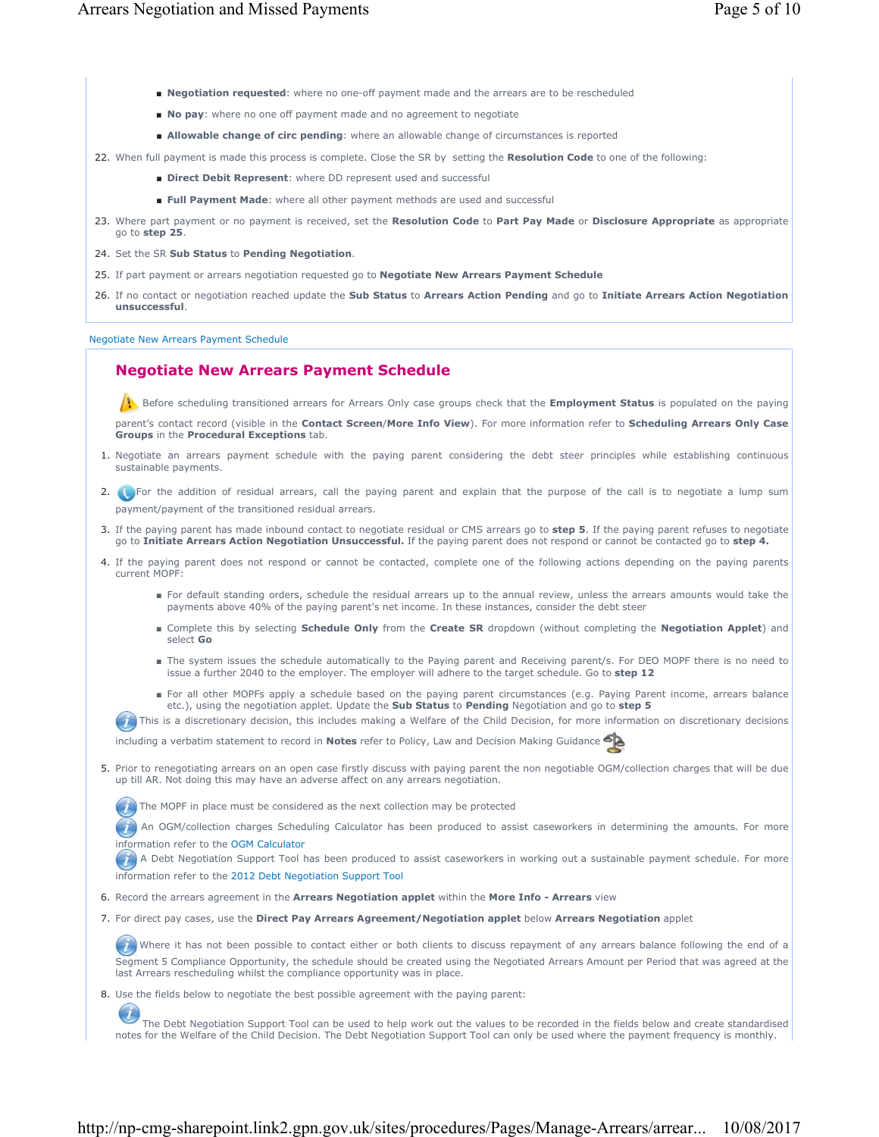- **Negotiation requested**: where no one-off payment made and the arrears are to be rescheduled
- **No pay**: where no one off payment made and no agreement to negotiate
- **Allowable change of circ pending**: where an allowable change of circumstances is reported
- 22. When full payment is made this process is complete. Close the SR by setting the **Resolution Code** to one of the following:
	- $\blacksquare$  **Direct Debit Represent:** where DD represent used and successful
	- **Full Payment Made**: where all other payment methods are used and successful
- Where part payment or no payment is received, set the **Resolution Code** to **Part Pay Made** or **Disclosure Appropriate** as appropriate 23. go to **step 25**.
- 24. Set the SR **Sub Status** to **Pending Negotiation**.
- 25. If part payment or arrears negotiation requested go to **Negotiate New Arrears Payment Schedule**
- If no contact or negotiation reached update the **Sub Status** to **Arrears Action Pending** and go to **Initiate Arrears Action Negotiation** 26. **unsuccessful**.

Negotiate New Arrears Payment Schedule

# **Negotiate New Arrears Payment Schedule**

Before scheduling transitioned arrears for Arrears Only case groups check that the **Employment Status** is populated on the paying

parent's contact record (visible in the **Contact Screen**/**More Info View**). For more information refer to **Scheduling Arrears Only Case Groups** in the **Procedural Exceptions** tab.

- 1. Negotiate an arrears payment schedule with the paying parent considering the debt steer principles while establishing continuous sustainable payments.
- 2. **In the addition of residual arrears, call the paying parent and explain that the purpose of the call is to negotiate a lump sum** payment/payment of the transitioned residual arrears.
- If the paying parent has made inbound contact to negotiate residual or CMS arrears go to **step 5**. If the paying parent refuses to negotiate 3. go to **Initiate Arrears Action Negotiation Unsuccessful.** If the paying parent does not respond or cannot be contacted go to **step 4.**
- 4. If the paying parent does not respond or cannot be contacted, complete one of the following actions depending on the paying parents current MOPF:
	- For default standing orders, schedule the residual arrears up to the annual review, unless the arrears amounts would take the payments above 40% of the paying parent's net income. In these instances, consider the debt steer
	- Complete this by selecting **Schedule Only** from the **Create SR** dropdown (without completing the Negotiation Applet) and select **Go**
	- The system issues the schedule automatically to the Paying parent and Receiving parent/s. For DEO MOPF there is no need to issue a further 2040 to the employer. The employer will adhere to the target schedule. Go to **step 12**
	- For all other MOPFs apply a schedule based on the paying parent circumstances (e.g. Paying Parent income, arrears balance etc.), using the negotiation applet. Update the **Sub Status** to **Pending** Negotiation and go to **step 5**
	- This is a discretionary decision, this includes making a Welfare of the Child Decision, for more information on discretionary decisions

including a verbatim statement to record in **Notes** refer to Policy, Law and Decision Making Guidance

5. Prior to renegotiating arrears on an open case firstly discuss with paying parent the non negotiable OGM/collection charges that will be due up till AR. Not doing this may have an adverse affect on any arrears negotiation.

 $(4)$  The MOPF in place must be considered as the next collection may be protected

**An OGM/collection charges Scheduling Calculator has been produced to assist caseworkers in determining the amounts. For more** information refer to the OGM Calculator

A Debt Negotiation Support Tool has been produced to assist caseworkers in working out a sustainable payment schedule. For more information refer to the 2012 Debt Negotiation Support Tool

6. Record the arrears agreement in the **Arrears Negotiation applet** within the **More Info - Arrears** view

For direct pay cases, use the **Direct Pay Arrears Agreement/Negotiation applet** below **Arrears Negotiation** applet 7.

Where it has not been possible to contact either or both clients to discuss repayment of any arrears balance following the end of a Segment 5 Compliance Opportunity, the schedule should be created using the Negotiated Arrears Amount per Period that was agreed at the last Arrears rescheduling whilst the compliance opportunity was in place.

8. Use the fields below to negotiate the best possible agreement with the paying parent:

 $\overline{u}$ The Debt Negotiation Support Tool can be used to help work out the values to be recorded in the fields below and create standardised notes for the Welfare of the Child Decision. The Debt Negotiation Support Tool can only be used where the payment frequency is monthly.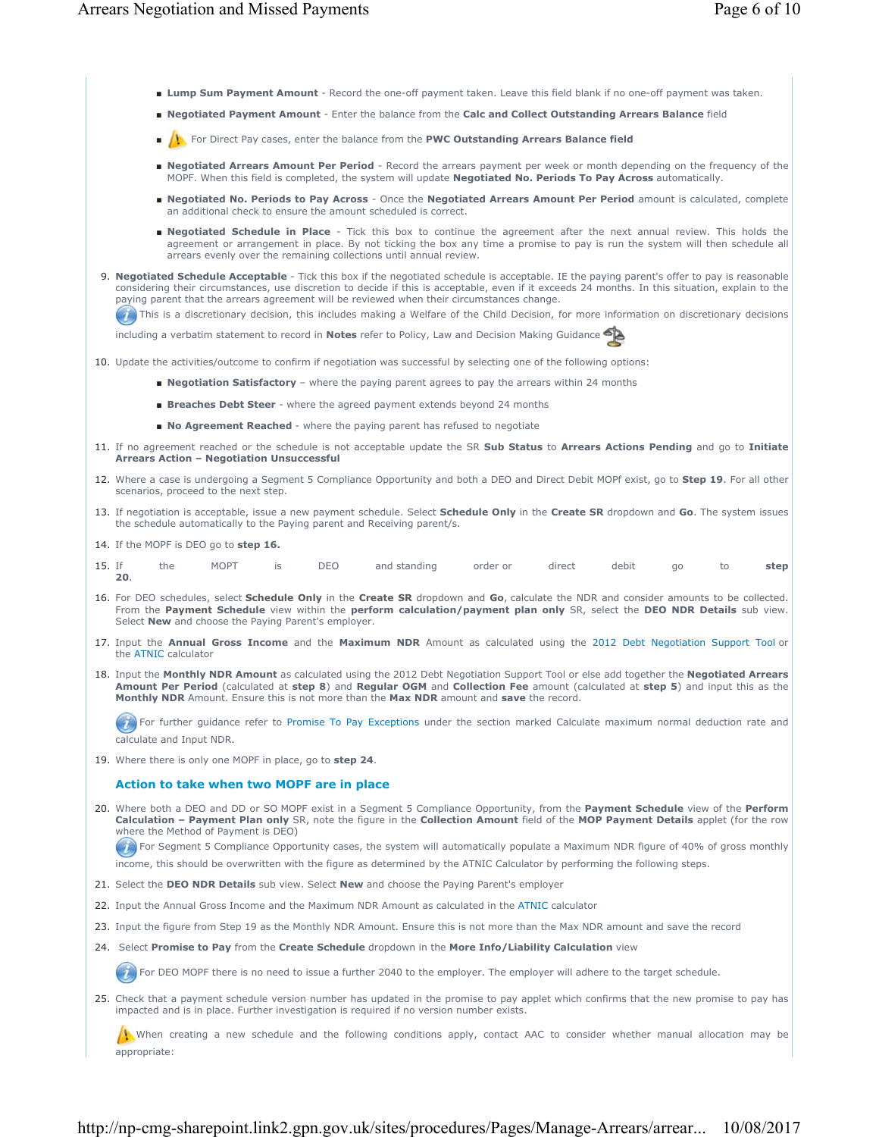- **Lump Sum Payment Amount** Record the one-off payment taken. Leave this field blank if no one-off payment was taken.
- **Negotiated Payment Amount** Enter the balance from the **Calc and Collect Outstanding Arrears Balance** field
- For Direct Pay cases, enter the balance from the **PWC Outstanding Arrears Balance field**
- Negotiated Arrears Amount Per Period Record the arrears payment per week or month depending on the frequency of the MOPF. When this field is completed, the system will update **Negotiated No. Periods To Pay Across** automatically.
- Negotiated No. Periods to Pay Across Once the Negotiated Arrears Amount Per Period amount is calculated, complete an additional check to ensure the amount scheduled is correct.
- Negotiated Schedule in Place Tick this box to continue the agreement after the next annual review. This holds the agreement or arrangement in place. By not ticking the box any time a promise to pay is run the system will then schedule all arrears evenly over the remaining collections until annual review.
- **Negotiated Schedule Acceptable** Tick this box if the negotiated schedule is acceptable. IE the paying parent's offer to pay is reasonable 9. considering their circumstances, use discretion to decide if this is acceptable, even if it exceeds 24 months. In this situation, explain to the paying parent that the arrears agreement will be reviewed when their circumstances change.
	- **(2)** This is a discretionary decision, this includes making a Welfare of the Child Decision, for more information on discretionary decisions

including a verbatim statement to record in **Notes** refer to Policy, Law and Decision Making Guidance

- 10. Update the activities/outcome to confirm if negotiation was successful by selecting one of the following options:
	- **Negotiation Satisfactory** where the paying parent agrees to pay the arrears within 24 months
	- **Breaches Debt Steer**  where the agreed payment extends beyond 24 months
	- **No Agreement Reached** where the paying parent has refused to negotiate
- If no agreement reached or the schedule is not acceptable update the SR **Sub Status** to **Arrears Actions Pending** and go to **Initiate**  11. **Arrears Action – Negotiation Unsuccessful**
- Where a case is undergoing a Segment 5 Compliance Opportunity and both a DEO and Direct Debit MOPf exist, go to **Step 19**. For all other 12. scenarios, proceed to the next step.
- 13. If negotiation is acceptable, issue a new payment schedule. Select **Schedule Only** in the Create SR dropdown and Go. The system issues the schedule automatically to the Paying parent and Receiving parent/s.
- 14. If the MOPF is DEO go to **step 16.**
- If the MOPT is DEO and standing order or direct debit go to **step 20**. 15.
- 16. For DEO schedules, select **Schedule Only** in the **Create SR** dropdown and Go, calculate the NDR and consider amounts to be collected. From the **Payment Schedule** view within the **perform calculation/payment plan only** SR, select the **DEO NDR Details** sub view. Select **New** and choose the Paying Parent's employer.
- 17. Input the **Annual Gross Income** and the Maximum NDR Amount as calculated using the 2012 Debt Negotiation Support Tool or the ATNIC calculator
- 18. Input the Monthly NDR Amount as calculated using the 2012 Debt Negotiation Support Tool or else add together the Negotiated Arrears **Amount Per Period** (calculated at **step 8**) and **Regular OGM** and **Collection Fee** amount (calculated at **step 5**) and input this as the **Monthly NDR** Amount. Ensure this is not more than the **Max NDR** amount and **save** the record.

For further guidance refer to Promise To Pay Exceptions under the section marked Calculate maximum normal deduction rate and calculate and Input NDR.

19. Where there is only one MOPF in place, go to **step 24**.

#### **Action to take when two MOPF are in place**

Where both a DEO and DD or SO MOPF exist in a Segment 5 Compliance Opportunity, from the **Payment Schedule** view of the **Perform**  20. **Calculation – Payment Plan only** SR, note the figure in the **Collection Amount** field of the **MOP Payment Details** applet (for the row where the Method of Payment is DEO)

For Segment 5 Compliance Opportunity cases, the system will automatically populate a Maximum NDR figure of 40% of gross monthly income, this should be overwritten with the figure as determined by the ATNIC Calculator by performing the following steps.

- 21. Select the **DEO NDR Details** sub view. Select **New** and choose the Paying Parent's employer
- 22. Input the Annual Gross Income and the Maximum NDR Amount as calculated in the ATNIC calculator
- 23. Input the figure from Step 19 as the Monthly NDR Amount. Ensure this is not more than the Max NDR amount and save the record
- 24. Select **Promise to Pay** from the **Create Schedule** dropdown in the **More Info/Liability Calculation** view

For DEO MOPF there is no need to issue a further 2040 to the employer. The employer will adhere to the target schedule.

25. Check that a payment schedule version number has updated in the promise to pay applet which confirms that the new promise to pay has impacted and is in place. Further investigation is required if no version number exists.

When creating a new schedule and the following conditions apply, contact AAC to consider whether manual allocation may be appropriate: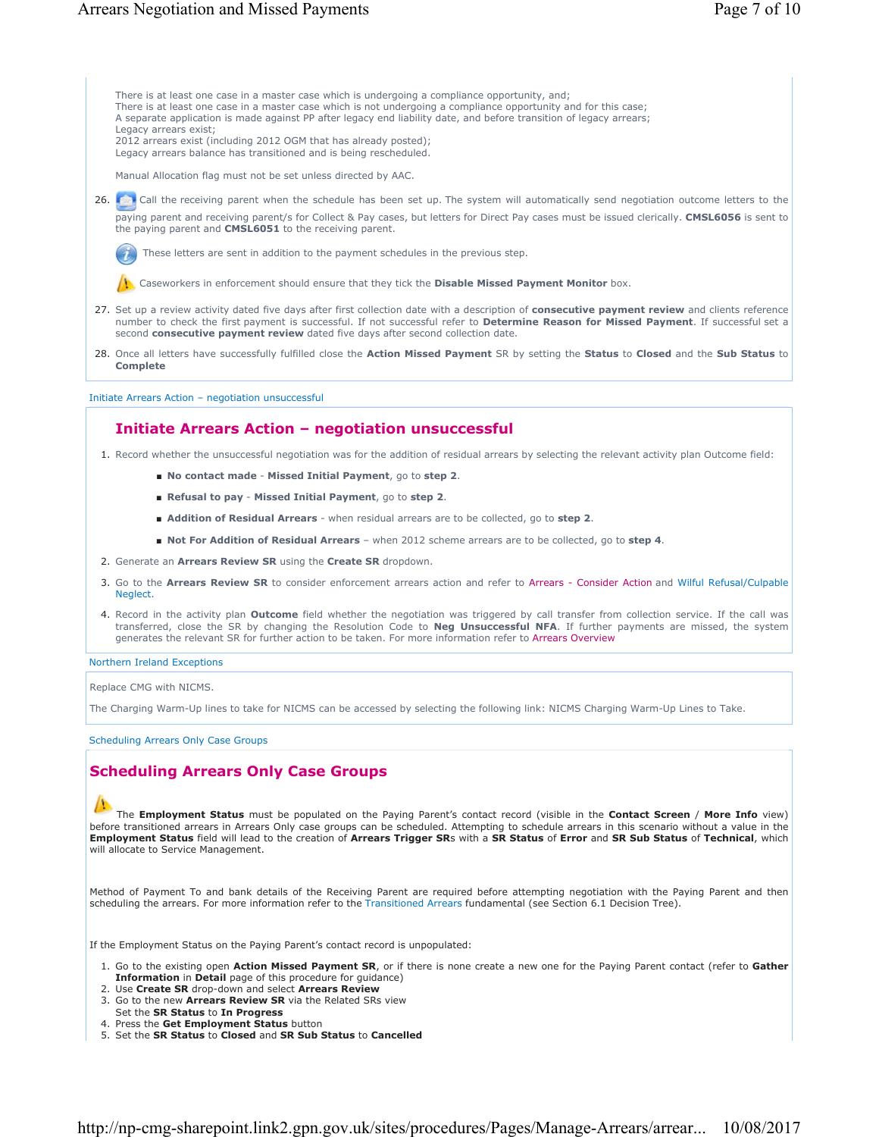There is at least one case in a master case which is undergoing a compliance opportunity, and; There is at least one case in a master case which is not undergoing a compliance opportunity and for this case; A separate application is made against PP after legacy end liability date, and before transition of legacy arrears; Legacy arrears exist; 2012 arrears exist (including 2012 OGM that has already posted);

Legacy arrears balance has transitioned and is being rescheduled.

Manual Allocation flag must not be set unless directed by AAC.

26. Call the receiving parent when the schedule has been set up. The system will automatically send negotiation outcome letters to the paying parent and receiving parent/s for Collect & Pay cases, but letters for Direct Pay cases must be issued clerically. **CMSL6056** is sent to the paying parent and **CMSL6051** to the receiving parent.

These letters are sent in addition to the payment schedules in the previous step.

Caseworkers in enforcement should ensure that they tick the **Disable Missed Payment Monitor** box.

- 27. Set up a review activity dated five days after first collection date with a description of **consecutive payment review** and clients reference number to check the first payment is successful. If not successful refer to **Determine Reason for Missed Payment**. If successful set a second **consecutive payment review** dated five days after second collection date.
- Once all letters have successfully fulfilled close the **Action Missed Payment** SR by setting the **Status** to **Closed** and the **Sub Status** to 28. **Complete**

Initiate Arrears Action – negotiation unsuccessful

### **Initiate Arrears Action – negotiation unsuccessful**

- 1. Record whether the unsuccessful negotiation was for the addition of residual arrears by selecting the relevant activity plan Outcome field:
	- **No contact made Missed Initial Payment**, go to **step 2**.
	- **Refusal to pay Missed Initial Payment**, go to **step 2**.
	- **Addition of Residual Arrears** when residual arrears are to be collected, go to **step 2**.
	- **Not For Addition of Residual Arrears** when 2012 scheme arrears are to be collected, go to **step 4**.
- 2. Generate an **Arrears Review SR** using the **Create SR** dropdown.
- 3. Go to the Arrears Review SR to consider enforcement arrears action and refer to Arrears Consider Action and Wilful Refusal/Culpable Neglect.
- 4. Record in the activity plan **Outcome** field whether the negotiation was triggered by call transfer from collection service. If the call was transferred, close the SR by changing the Resolution Code to **Neg Unsuccessful NFA**. If further payments are missed, the system generates the relevant SR for further action to be taken. For more information refer to Arrears Overview

Northern Ireland Exceptions

Replace CMG with NICMS.

The Charging Warm-Up lines to take for NICMS can be accessed by selecting the following link: NICMS Charging Warm-Up Lines to Take.

Scheduling Arrears Only Case Groups

# **Scheduling Arrears Only Case Groups**

### The **Employment Status** must be populated on the Paying Parent's contact record (visible in the **Contact Screen** / **More Info** view) before transitioned arrears in Arrears Only case groups can be scheduled. Attempting to schedule arrears in this scenario without a value in the **Employment Status** field will lead to the creation of **Arrears Trigger SR**s with a **SR Status** of **Error** and **SR Sub Status** of **Technical**, which will allocate to Service Management.

Method of Payment To and bank details of the Receiving Parent are required before attempting negotiation with the Paying Parent and then scheduling the arrears. For more information refer to the Transitioned Arrears fundamental (see Section 6.1 Decision Tree).

If the Employment Status on the Paying Parent's contact record is unpopulated:

- 1. Go to the existing open Action Missed Payment SR, or if there is none create a new one for the Paying Parent contact (refer to Gather **Information** in **Detail** page of this procedure for guidance)
- 2. Use **Create SR** drop-down and select **Arrears Review** 3. Go to the new Arrears Review SR via the Related SRs view
- Set the **SR Status** to **In Progress**
- 4. Press the **Get Employment Status** button
- 5. Set the **SR Status** to **Closed** and **SR Sub Status** to **Cancelled**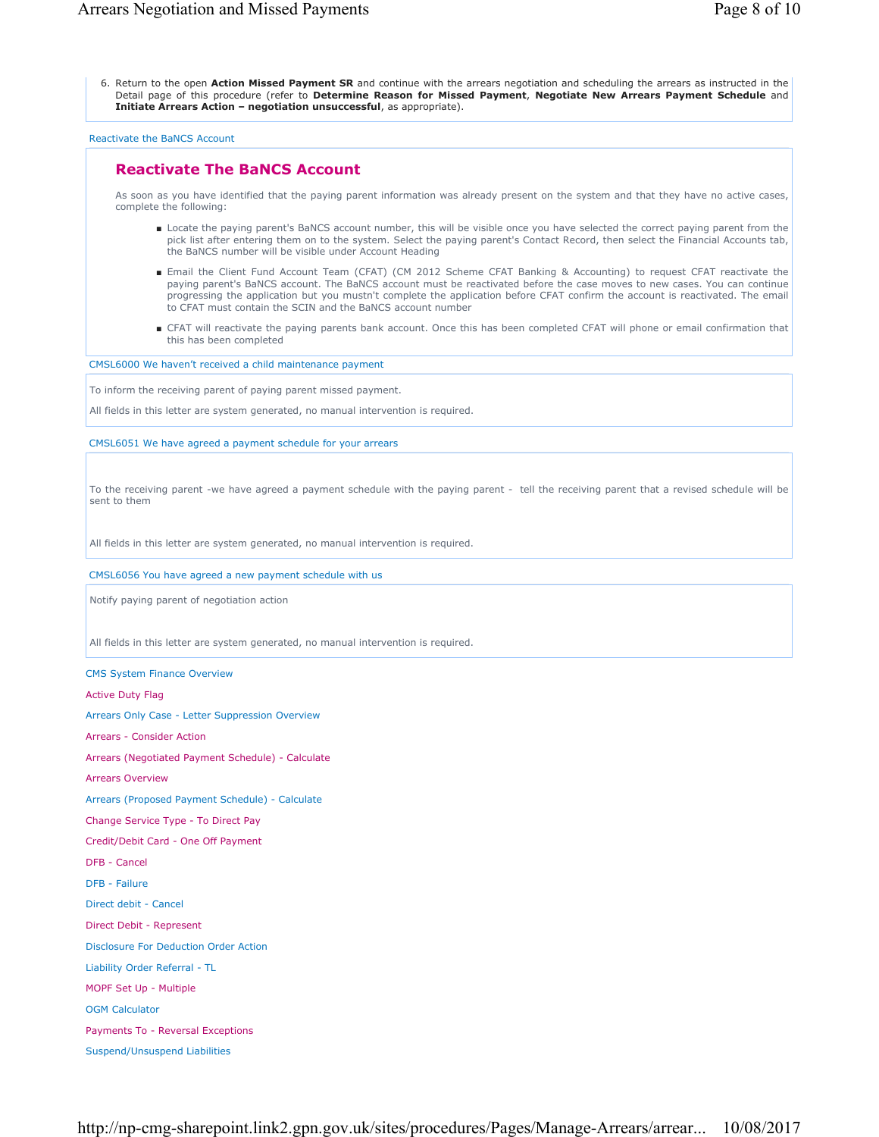6. Return to the open Action Missed Payment SR and continue with the arrears negotiation and scheduling the arrears as instructed in the Detail page of this procedure (refer to **Determine Reason for Missed Payment**, **Negotiate New Arrears Payment Schedule** and **Initiate Arrears Action – negotiation unsuccessful**, as appropriate).

Reactivate the BaNCS Account

# **Reactivate The BaNCS Account**

As soon as you have identified that the paying parent information was already present on the system and that they have no active cases, complete the following:

- Locate the paying parent's BaNCS account number, this will be visible once you have selected the correct paying parent from the pick list after entering them on to the system. Select the paying parent's Contact Record, then select the Financial Accounts tab, the BaNCS number will be visible under Account Heading
- Email the Client Fund Account Team (CFAT) (CM 2012 Scheme CFAT Banking & Accounting) to request CFAT reactivate the paying parent's BaNCS account. The BaNCS account must be reactivated before the case moves to new cases. You can continue progressing the application but you mustn't complete the application before CFAT confirm the account is reactivated. The email to CFAT must contain the SCIN and the BaNCS account number
- CFAT will reactivate the paying parents bank account. Once this has been completed CFAT will phone or email confirmation that this has been completed

CMSL6000 We haven't received a child maintenance payment

To inform the receiving parent of paying parent missed payment.

All fields in this letter are system generated, no manual intervention is required.

CMSL6051 We have agreed a payment schedule for your arrears

To the receiving parent -we have agreed a payment schedule with the paying parent - tell the receiving parent that a revised schedule will be sent to them

All fields in this letter are system generated, no manual intervention is required.

CMSL6056 You have agreed a new payment schedule with us

Notify paying parent of negotiation action

All fields in this letter are system generated, no manual intervention is required.

CMS System Finance Overview

Active Duty Flag

Arrears Only Case - Letter Suppression Overview

Arrears - Consider Action

Arrears (Negotiated Payment Schedule) - Calculate

Arrears Overview

Arrears (Proposed Payment Schedule) - Calculate

Change Service Type - To Direct Pay

Credit/Debit Card - One Off Payment

DFB - Cancel

DFB - Failure

Direct debit - Cancel

Direct Debit - Represent

Disclosure For Deduction Order Action

Liability Order Referral - TL

MOPF Set Up - Multiple

OGM Calculator

Payments To - Reversal Exceptions

Suspend/Unsuspend Liabilities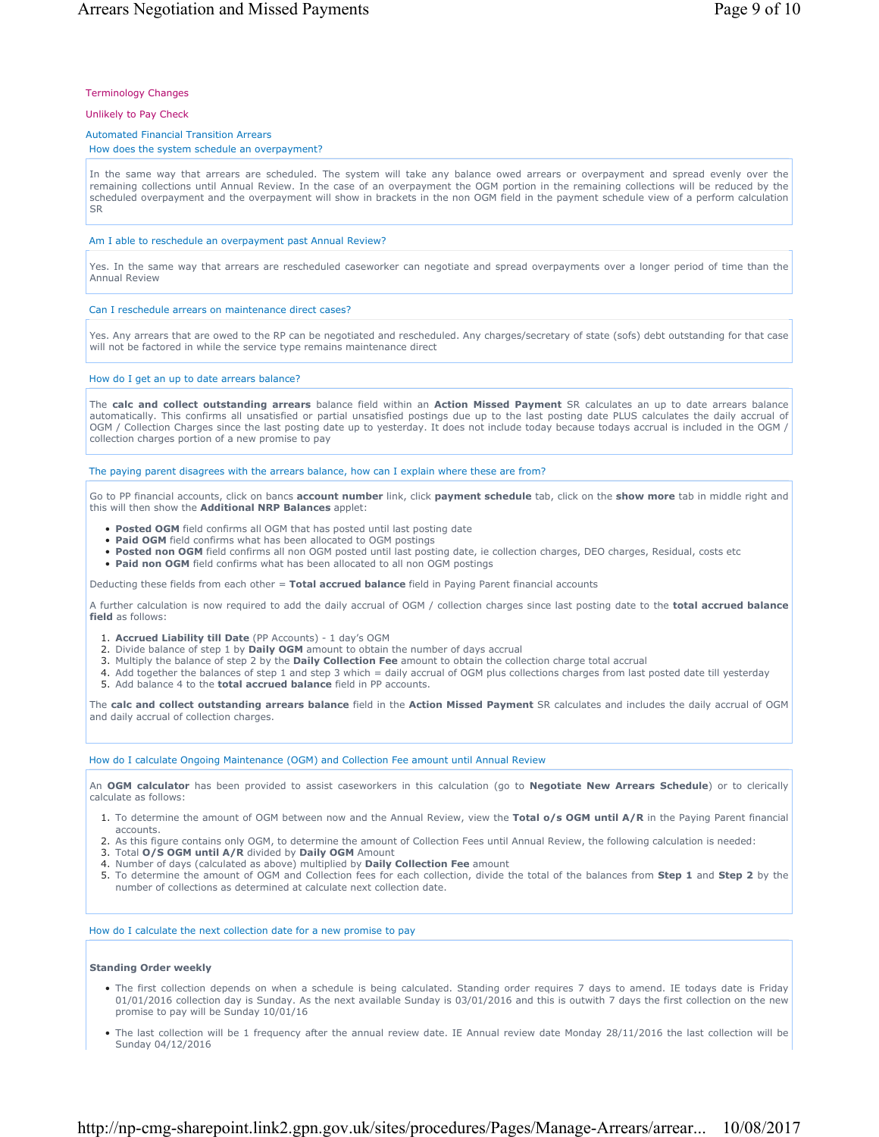### Terminology Changes

### Unlikely to Pay Check

### Automated Financial Transition Arrears

### How does the system schedule an overpayment?

In the same way that arrears are scheduled. The system will take any balance owed arrears or overpayment and spread evenly over the remaining collections until Annual Review. In the case of an overpayment the OGM portion in the remaining collections will be reduced by the scheduled overpayment and the overpayment will show in brackets in the non OGM field in the payment schedule view of a perform calculation SR

### Am I able to reschedule an overpayment past Annual Review?

Yes. In the same way that arrears are rescheduled caseworker can negotiate and spread overpayments over a longer period of time than the Annual Review

### Can I reschedule arrears on maintenance direct cases?

Yes. Any arrears that are owed to the RP can be negotiated and rescheduled. Any charges/secretary of state (sofs) debt outstanding for that case will not be factored in while the service type remains maintenance direct

#### How do I get an up to date arrears balance?

The **calc and collect outstanding arrears** balance field within an **Action Missed Payment** SR calculates an up to date arrears balance automatically. This confirms all unsatisfied or partial unsatisfied postings due up to the last posting date PLUS calculates the daily accrual of OGM / Collection Charges since the last posting date up to yesterday. It does not include today because todays accrual is included in the OGM / collection charges portion of a new promise to pay

#### The paying parent disagrees with the arrears balance, how can I explain where these are from?

Go to PP financial accounts, click on bancs **account number** link, click **payment schedule** tab, click on the **show more** tab in middle right and this will then show the **Additional NRP Balances** applet:

- Posted OGM field confirms all OGM that has posted until last posting date
- **Paid OGM** field confirms what has been allocated to OGM postings
- **Posted non OGM** field confirms all non OGM posted until last posting date, ie collection charges, DEO charges, Residual, costs etc
- **Paid non OGM** field confirms what has been allocated to all non OGM postings

Deducting these fields from each other = **Total accrued balance** field in Paying Parent financial accounts

A further calculation is now required to add the daily accrual of OGM / collection charges since last posting date to the **total accrued balance field** as follows:

- 1. **Accrued Liability till Date** (PP Accounts) 1 day's OGM
- 2. Divide balance of step 1 by **Daily OGM** amount to obtain the number of days accrual
- 3. Multiply the balance of step 2 by the **Daily Collection Fee** amount to obtain the collection charge total accrual
- 4. Add together the balances of step 1 and step 3 which = daily accrual of OGM plus collections charges from last posted date till yesterday
- 5. Add balance 4 to the **total accrued balance** field in PP accounts.

The **calc and collect outstanding arrears balance** field in the **Action Missed Payment** SR calculates and includes the daily accrual of OGM and daily accrual of collection charges.

#### How do I calculate Ongoing Maintenance (OGM) and Collection Fee amount until Annual Review

An **OGM calculator** has been provided to assist caseworkers in this calculation (go to **Negotiate New Arrears Schedule**) or to clerically calculate as follows:

- 1. To determine the amount of OGM between now and the Annual Review, view the Total o/s OGM until A/R in the Paying Parent financial accounts.
- 2. As this figure contains only OGM, to determine the amount of Collection Fees until Annual Review, the following calculation is needed:
- 3. Total **O/S OGM until A/R** divided by **Daily OGM** Amount
- 4. Number of days (calculated as above) multiplied by **Daily Collection Fee** amount
- 5. To determine the amount of OGM and Collection fees for each collection, divide the total of the balances from Step 1 and Step 2 by the number of collections as determined at calculate next collection date.

How do I calculate the next collection date for a new promise to pay

#### **Standing Order weekly**

- The first collection depends on when a schedule is being calculated. Standing order requires 7 days to amend. IE todays date is Friday 01/01/2016 collection day is Sunday. As the next available Sunday is 03/01/2016 and this is outwith 7 days the first collection on the new promise to pay will be Sunday 10/01/16
- The last collection will be 1 frequency after the annual review date. IE Annual review date Monday 28/11/2016 the last collection will be Sunday 04/12/2016